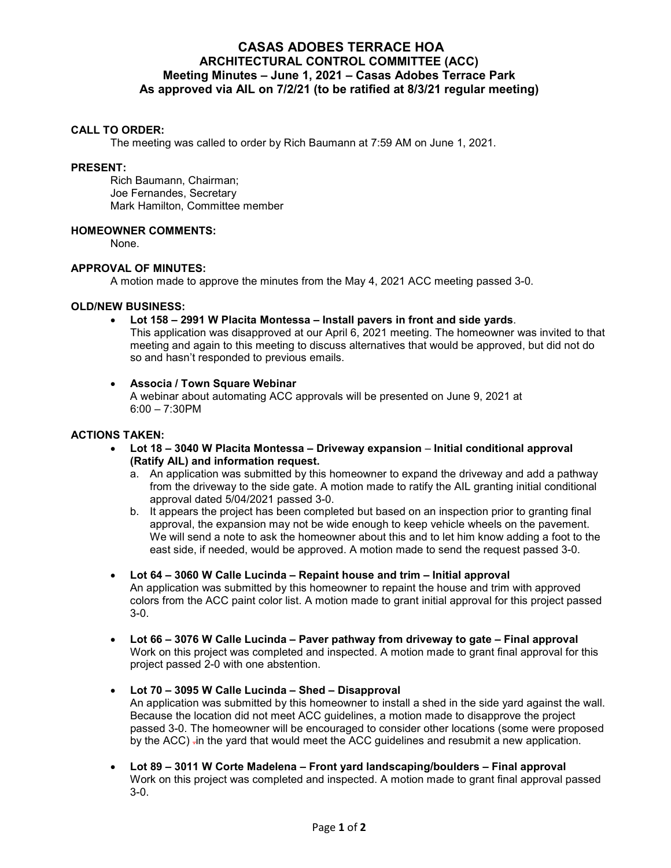# **CASAS ADOBES TERRACE HOA ARCHITECTURAL CONTROL COMMITTEE (ACC) Meeting Minutes – June 1, 2021 – Casas Adobes Terrace Park As approved via AIL on 7/2/21 (to be ratified at 8/3/21 regular meeting)**

#### **CALL TO ORDER:**

The meeting was called to order by Rich Baumann at 7:59 AM on June 1, 2021.

#### **PRESENT:**

Rich Baumann, Chairman; Joe Fernandes, Secretary Mark Hamilton, Committee member

### **HOMEOWNER COMMENTS:**

None.

### **APPROVAL OF MINUTES:**

A motion made to approve the minutes from the May 4, 2021 ACC meeting passed 3-0.

### **OLD/NEW BUSINESS:**

### **Lot 158 – 2991 W Placita Montessa – Install pavers in front and side yards**.

This application was disapproved at our April 6, 2021 meeting. The homeowner was invited to that meeting and again to this meeting to discuss alternatives that would be approved, but did not do so and hasn't responded to previous emails.

### **Associa / Town Square Webinar**

A webinar about automating ACC approvals will be presented on June 9, 2021 at 6:00 – 7:30PM

### **ACTIONS TAKEN:**

- **Lot 18 3040 W Placita Montessa Driveway expansion Initial conditional approval (Ratify AIL) and information request.**
	- a. An application was submitted by this homeowner to expand the driveway and add a pathway from the driveway to the side gate. A motion made to ratify the AIL granting initial conditional approval dated 5/04/2021 passed 3-0.
	- b. It appears the project has been completed but based on an inspection prior to granting final approval, the expansion may not be wide enough to keep vehicle wheels on the pavement. We will send a note to ask the homeowner about this and to let him know adding a foot to the east side, if needed, would be approved. A motion made to send the request passed 3-0.
- **Lot 64 3060 W Calle Lucinda Repaint house and trim Initial approval**  An application was submitted by this homeowner to repaint the house and trim with approved colors from the ACC paint color list. A motion made to grant initial approval for this project passed 3-0.
- **Lot 66 3076 W Calle Lucinda Paver pathway from driveway to gate Final approval**  Work on this project was completed and inspected. A motion made to grant final approval for this project passed 2-0 with one abstention.

## **Lot 70 – 3095 W Calle Lucinda – Shed – Disapproval**

An application was submitted by this homeowner to install a shed in the side yard against the wall. Because the location did not meet ACC guidelines, a motion made to disapprove the project passed 3-0. The homeowner will be encouraged to consider other locations (some were proposed by the ACC) -in the yard that would meet the ACC guidelines and resubmit a new application.

 **Lot 89 – 3011 W Corte Madelena – Front yard landscaping/boulders – Final approval**  Work on this project was completed and inspected. A motion made to grant final approval passed 3-0.